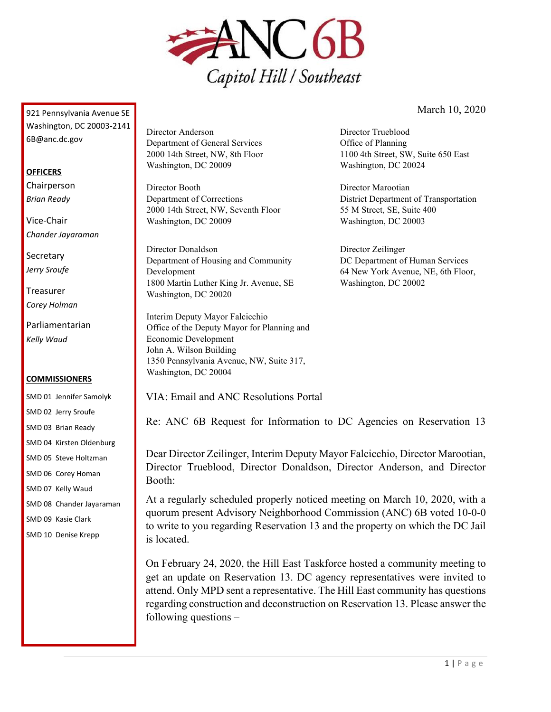

March 10, 2020

Director Trueblood Office of Planning

Director Marootian

Director Zeilinger

Washington, DC 20002

Washington, DC 20024

55 M Street, SE, Suite 400 Washington, DC 20003

1100 4th Street, SW, Suite 650 East

District Department of Transportation

DC Department of Human Services 64 New York Avenue, NE, 6th Floor,

921 Pennsylvania Avenue SE Washington, DC 20003-2141 6B@anc.dc.gov

#### **OFFICERS**

Chairperson *Brian Ready*

Vice-Chair *Chander Jayaraman*

**Secretary** *Jerry Sroufe*

Treasurer *Corey Holman*

Parliamentarian *Kelly Waud*

#### **COMMISSIONERS**

SMD 01 Jennifer Samolyk SMD 02 Jerry Sroufe SMD 03 Brian Ready SMD 04 Kirsten Oldenburg SMD 05 Steve Holtzman SMD 06 Corey Homan SMD 07 Kelly Waud SMD 08 Chander Jayaraman SMD 09 Kasie Clark SMD 10 Denise Krepp

Director Anderson Department of General Services 2000 14th Street, NW, 8th Floor Washington, DC 20009

Director Booth Department of Corrections 2000 14th Street, NW, Seventh Floor Washington, DC 20009

Director Donaldson Department of Housing and Community Development 1800 Martin Luther King Jr. Avenue, SE Washington, DC 20020

Interim Deputy Mayor Falcicchio Office of the Deputy Mayor for Planning and Economic Development John A. Wilson Building 1350 Pennsylvania Avenue, NW, Suite 317, Washington, DC 20004

VIA: Email and ANC Resolutions Portal

Re: ANC 6B Request for Information to DC Agencies on Reservation 13

Dear Director Zeilinger, Interim Deputy Mayor Falcicchio, Director Marootian, Director Trueblood, Director Donaldson, Director Anderson, and Director Booth:

At a regularly scheduled properly noticed meeting on March 10, 2020, with a quorum present Advisory Neighborhood Commission (ANC) 6B voted 10-0-0 to write to you regarding Reservation 13 and the property on which the DC Jail is located.

On February 24, 2020, the Hill East Taskforce hosted a community meeting to get an update on Reservation 13. DC agency representatives were invited to attend. Only MPD sent a representative. The Hill East community has questions regarding construction and deconstruction on Reservation 13. Please answer the following questions –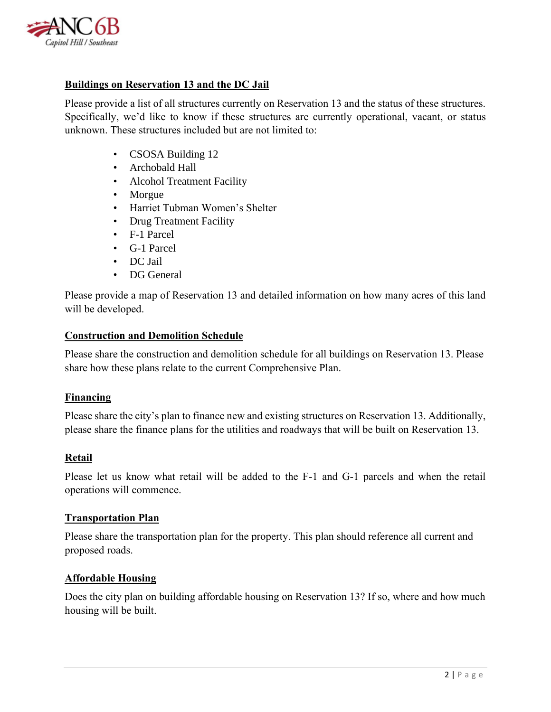

## **Buildings on Reservation 13 and the DC Jail**

Please provide a list of all structures currently on Reservation 13 and the status of these structures. Specifically, we'd like to know if these structures are currently operational, vacant, or status unknown. These structures included but are not limited to:

- CSOSA Building 12
- Archobald Hall
- Alcohol Treatment Facility
- Morgue
- Harriet Tubman Women's Shelter
- Drug Treatment Facility
- F-1 Parcel
- G-1 Parcel
- DC Jail
- DG General

Please provide a map of Reservation 13 and detailed information on how many acres of this land will be developed.

## **Construction and Demolition Schedule**

Please share the construction and demolition schedule for all buildings on Reservation 13. Please share how these plans relate to the current Comprehensive Plan.

#### **Financing**

Please share the city's plan to finance new and existing structures on Reservation 13. Additionally, please share the finance plans for the utilities and roadways that will be built on Reservation 13.

## **Retail**

Please let us know what retail will be added to the F-1 and G-1 parcels and when the retail operations will commence.

#### **Transportation Plan**

Please share the transportation plan for the property. This plan should reference all current and proposed roads.

## **Affordable Housing**

Does the city plan on building affordable housing on Reservation 13? If so, where and how much housing will be built.